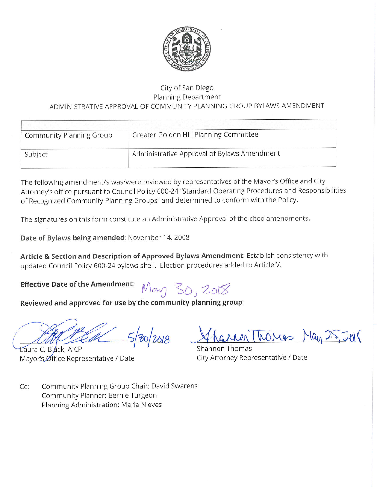

#### City of San Diego **Planning Department** ADMINISTRATIVE APPROVAL OF COMMUNITY PLANNING GROUP BYLAWS AMENDMENT

| <b>Community Planning Group</b> | Greater Golden Hill Planning Committee      |
|---------------------------------|---------------------------------------------|
| Subject                         | Administrative Approval of Bylaws Amendment |

The following amendment/s was/were reviewed by representatives of the Mayor's Office and City Attorney's office pursuant to Council Policy 600-24 "Standard Operating Procedures and Responsibilities of Recognized Community Planning Groups" and determined to conform with the Policy.

The signatures on this form constitute an Administrative Approval of the cited amendments.

Date of Bylaws being amended: November 14, 2008

Article & Section and Description of Approved Bylaws Amendment: Establish consistency with updated Council Policy 600-24 bylaws shell. Election procedures added to Article V.

**Effective Date of the Amendment:** 

May 30, 2018

Reviewed and approved for use by the community planning group:

 $30/2018$ 

Laura C. Black, AICP Mayor's Office Representative / Date

MerThomas May 25,2018

Shannon Thomas City Attorney Representative / Date

 $Cc:$ Community Planning Group Chair: David Swarens Community Planner: Bernie Turgeon Planning Administration: Maria Nieves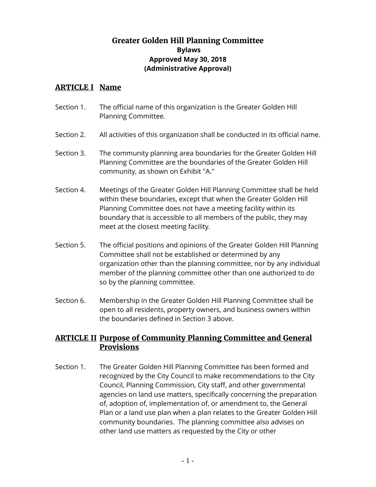## **Greater Golden Hill Planning Committee Bylaws Approved May 30, 2018 (Administrative Approval)**

### **ARTICLE I Name**

- Section 1. The official name of this organization is the Greater Golden Hill Planning Committee*.*
- Section 2. All activities of this organization shall be conducted in its official name.
- Section 3. The community planning area boundaries for the Greater Golden Hill Planning Committee are the boundaries of the Greater Golden Hill community, as shown on Exhibit "A."
- Section 4. Meetings of the Greater Golden Hill Planning Committee shall be held within these boundaries, except that when the Greater Golden Hill Planning Committee does not have a meeting facility within its boundary that is accessible to all members of the public, they may meet at the closest meeting facility.
- Section 5. The official positions and opinions of the Greater Golden Hill Planning Committee shall not be established or determined by any organization other than the planning committee, nor by any individual member of the planning committee other than one authorized to do so by the planning committee.
- Section 6. Membership in the Greater Golden Hill Planning Committee shall be open to all residents, property owners, and business owners within the boundaries defined in Section 3 above.

## **ARTICLE II Purpose of Community Planning Committee and General Provisions**

Section 1. The Greater Golden Hill Planning Committee has been formed and recognized by the City Council to make recommendations to the City Council, Planning Commission, City staff, and other governmental agencies on land use matters, specifically concerning the preparation of, adoption of, implementation of, or amendment to, the General Plan or a land use plan when a plan relates to the Greater Golden Hill community boundaries. The planning committee also advises on other land use matters as requested by the City or other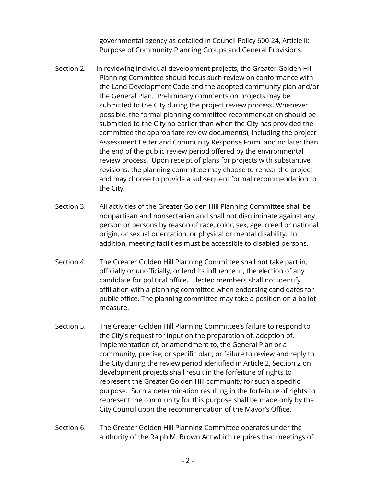governmental agency as detailed in Council Policy 600-24, Article II: Purpose of Community Planning Groups and General Provisions.

- Section 2. In reviewing individual development projects, the Greater Golden Hill Planning Committee should focus such review on conformance with the Land Development Code and the adopted community plan and/or the General Plan. Preliminary comments on projects may be submitted to the City during the project review process. Whenever possible, the formal planning committee recommendation should be submitted to the City no earlier than when the City has provided the committee the appropriate review document(s), including the project Assessment Letter and Community Response Form, and no later than the end of the public review period offered by the environmental review process. Upon receipt of plans for projects with substantive revisions, the planning committee may choose to rehear the project and may choose to provide a subsequent formal recommendation to the City.
- Section 3. All activities of the Greater Golden Hill Planning Committee shall be nonpartisan and nonsectarian and shall not discriminate against any person or persons by reason of race, color, sex, age, creed or national origin, or sexual orientation, or physical or mental disability. In addition, meeting facilities must be accessible to disabled persons.
- Section 4. The Greater Golden Hill Planning Committee shall not take part in, officially or unofficially, or lend its influence in, the election of any candidate for political office. Elected members shall not identify affiliation with a planning committee when endorsing candidates for public office. The planning committee may take a position on a ballot measure.
- Section 5. The Greater Golden Hill Planning Committee's failure to respond to the City's request for input on the preparation of, adoption of, implementation of, or amendment to, the General Plan or a community, precise, or specific plan, or failure to review and reply to the City during the review period identified in Article 2, Section 2 on development projects shall result in the forfeiture of rights to represent the Greater Golden Hill community for such a specific purpose. Such a determination resulting in the forfeiture of rights to represent the community for this purpose shall be made only by the City Council upon the recommendation of the Mayor's Office.
- Section 6. The Greater Golden Hill Planning Committee operates under the authority of the Ralph M. Brown Act which requires that meetings of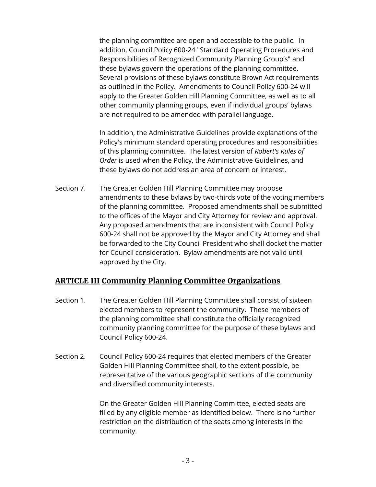the planning committee are open and accessible to the public. In addition, Council Policy 600-24 "Standard Operating Procedures and Responsibilities of Recognized Community Planning Group's" and these bylaws govern the operations of the planning committee. Several provisions of these bylaws constitute Brown Act requirements as outlined in the Policy. Amendments to Council Policy 600-24 will apply to the Greater Golden Hill Planning Committee, as well as to all other community planning groups, even if individual groups' bylaws are not required to be amended with parallel language.

In addition, the Administrative Guidelines provide explanations of the Policy's minimum standard operating procedures and responsibilities of this planning committee. The latest version of *Robert's Rules of Order* is used when the Policy, the Administrative Guidelines, and these bylaws do not address an area of concern or interest.

Section 7. The Greater Golden Hill Planning Committee may propose amendments to these bylaws by two-thirds vote of the voting members of the planning committee. Proposed amendments shall be submitted to the offices of the Mayor and City Attorney for review and approval. Any proposed amendments that are inconsistent with Council Policy 600-24 shall not be approved by the Mayor and City Attorney and shall be forwarded to the City Council President who shall docket the matter for Council consideration. Bylaw amendments are not valid until approved by the City.

## **ARTICLE III Community Planning Committee Organizations**

- Section 1. The Greater Golden Hill Planning Committee shall consist of sixteen elected members to represent the community. These members of the planning committee shall constitute the officially recognized community planning committee for the purpose of these bylaws and Council Policy 600-24.
- Section 2. Council Policy 600-24 requires that elected members of the Greater Golden Hill Planning Committee shall, to the extent possible, be representative of the various geographic sections of the community and diversified community interests.

On the Greater Golden Hill Planning Committee, elected seats are filled by any eligible member as identified below. There is no further restriction on the distribution of the seats among interests in the community.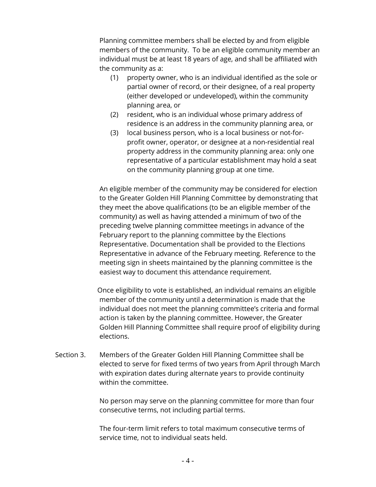Planning committee members shall be elected by and from eligible members of the community. To be an eligible community member an individual must be at least 18 years of age, and shall be affiliated with the community as a:

- (1) property owner, who is an individual identified as the sole or partial owner of record, or their designee, of a real property (either developed or undeveloped), within the community planning area, or
- (2) resident, who is an individual whose primary address of residence is an address in the community planning area, or
- (3) local business person, who is a local business or not-forprofit owner, operator, or designee at a non-residential real property address in the community planning area: only one representative of a particular establishment may hold a seat on the community planning group at one time.

An eligible member of the community may be considered for election to the Greater Golden Hill Planning Committee by demonstrating that they meet the above qualifications (to be an eligible member of the community) as well as having attended a minimum of two of the preceding twelve planning committee meetings in advance of the February report to the planning committee by the Elections Representative. Documentation shall be provided to the Elections Representative in advance of the February meeting. Reference to the meeting sign in sheets maintained by the planning committee is the easiest way to document this attendance requirement.

 Once eligibility to vote is established, an individual remains an eligible member of the community until a determination is made that the individual does not meet the planning committee's criteria and formal action is taken by the planning committee. However, the Greater Golden Hill Planning Committee shall require proof of eligibility during elections.

Section 3. Members of the Greater Golden Hill Planning Committee shall be elected to serve for fixed terms of two years from April through March with expiration dates during alternate years to provide continuity within the committee.

> No person may serve on the planning committee for more than four consecutive terms, not including partial terms.

The four-term limit refers to total maximum consecutive terms of service time, not to individual seats held.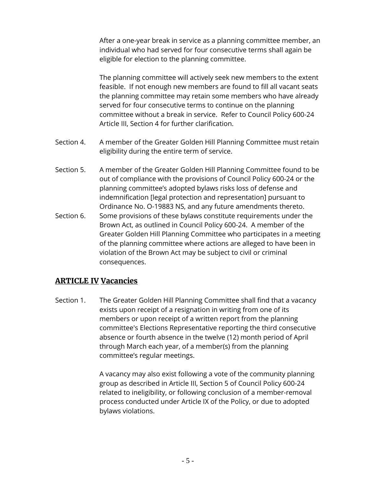After a one-year break in service as a planning committee member, an individual who had served for four consecutive terms shall again be eligible for election to the planning committee.

The planning committee will actively seek new members to the extent feasible. If not enough new members are found to fill all vacant seats the planning committee may retain some members who have already served for four consecutive terms to continue on the planning committee without a break in service. Refer to Council Policy 600-24 Article III, Section 4 for further clarification.

- Section 4. A member of the Greater Golden Hill Planning Committee must retain eligibility during the entire term of service.
- Section 5. A member of the Greater Golden Hill Planning Committee found to be out of compliance with the provisions of Council Policy 600-24 or the planning committee's adopted bylaws risks loss of defense and indemnification [legal protection and representation] pursuant to Ordinance No. O-19883 NS, and any future amendments thereto.
- Section 6. Some provisions of these bylaws constitute requirements under the Brown Act, as outlined in Council Policy 600-24. A member of the Greater Golden Hill Planning Committee who participates in a meeting of the planning committee where actions are alleged to have been in violation of the Brown Act may be subject to civil or criminal consequences.

## **ARTICLE IV Vacancies**

Section 1. The Greater Golden Hill Planning Committee shall find that a vacancy exists upon receipt of a resignation in writing from one of its members or upon receipt of a written report from the planning committee's Elections Representative reporting the third consecutive absence or fourth absence in the twelve (12) month period of April through March each year, of a member(s) from the planning committee's regular meetings.

> A vacancy may also exist following a vote of the community planning group as described in Article III, Section 5 of Council Policy 600-24 related to ineligibility, or following conclusion of a member-removal process conducted under Article IX of the Policy, or due to adopted bylaws violations.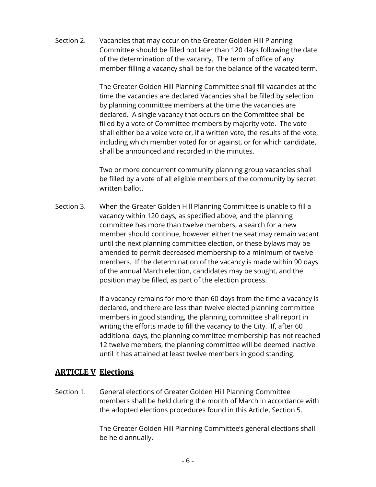Section 2. Vacancies that may occur on the Greater Golden Hill Planning Committee should be filled not later than 120 days following the date of the determination of the vacancy. The term of office of any member filling a vacancy shall be for the balance of the vacated term.

> The Greater Golden Hill Planning Committee shall fill vacancies at the time the vacancies are declared Vacancies shall be filled by selection by planning committee members at the time the vacancies are declared. A single vacancy that occurs on the Committee shall be filled by a vote of Committee members by majority vote. The vote shall either be a voice vote or, if a written vote, the results of the vote, including which member voted for or against, or for which candidate, shall be announced and recorded in the minutes.

> Two or more concurrent community planning group vacancies shall be filled by a vote of all eligible members of the community by secret written ballot.

Section 3. When the Greater Golden Hill Planning Committee is unable to fill a vacancy within 120 days, as specified above, and the planning committee has more than twelve members, a search for a new member should continue, however either the seat may remain vacant until the next planning committee election, or these bylaws may be amended to permit decreased membership to a minimum of twelve members. If the determination of the vacancy is made within 90 days of the annual March election, candidates may be sought, and the position may be filled, as part of the election process.

> If a vacancy remains for more than 60 days from the time a vacancy is declared, and there are less than twelve elected planning committee members in good standing, the planning committee shall report in writing the efforts made to fill the vacancy to the City. If, after 60 additional days, the planning committee membership has not reached 12 twelve members, the planning committee will be deemed inactive until it has attained at least twelve members in good standing.

#### **ARTICLE V Elections**

Section 1. General elections of Greater Golden Hill Planning Committee members shall be held during the month of March in accordance with the adopted elections procedures found in this Article, Section 5.

> The Greater Golden Hill Planning Committee's general elections shall be held annually.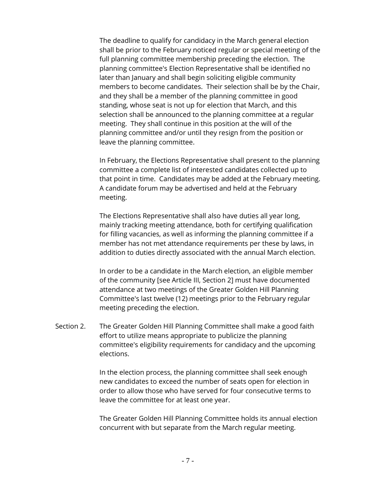The deadline to qualify for candidacy in the March general election shall be prior to the February noticed regular or special meeting of the full planning committee membership preceding the election. The planning committee's Election Representative shall be identified no later than January and shall begin soliciting eligible community members to become candidates. Their selection shall be by the Chair, and they shall be a member of the planning committee in good standing, whose seat is not up for election that March, and this selection shall be announced to the planning committee at a regular meeting. They shall continue in this position at the will of the planning committee and/or until they resign from the position or leave the planning committee.

In February, the Elections Representative shall present to the planning committee a complete list of interested candidates collected up to that point in time. Candidates may be added at the February meeting. A candidate forum may be advertised and held at the February meeting.

The Elections Representative shall also have duties all year long, mainly tracking meeting attendance, both for certifying qualification for filling vacancies, as well as informing the planning committee if a member has not met attendance requirements per these by laws, in addition to duties directly associated with the annual March election.

In order to be a candidate in the March election, an eligible member of the community [see Article III, Section 2] must have documented attendance at two meetings of the Greater Golden Hill Planning Committee's last twelve (12) meetings prior to the February regular meeting preceding the election.

Section 2. The Greater Golden Hill Planning Committee shall make a good faith effort to utilize means appropriate to publicize the planning committee's eligibility requirements for candidacy and the upcoming elections.

> In the election process, the planning committee shall seek enough new candidates to exceed the number of seats open for election in order to allow those who have served for four consecutive terms to leave the committee for at least one year.

The Greater Golden Hill Planning Committee holds its annual election concurrent with but separate from the March regular meeting.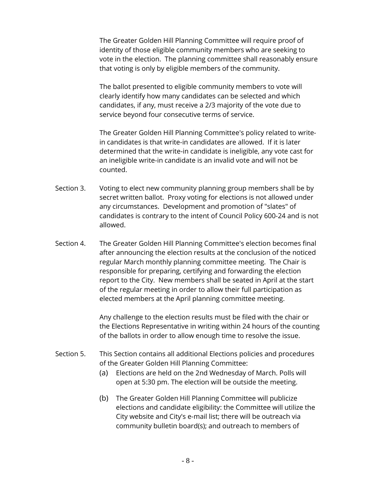The Greater Golden Hill Planning Committee will require proof of identity of those eligible community members who are seeking to vote in the election. The planning committee shall reasonably ensure that voting is only by eligible members of the community.

The ballot presented to eligible community members to vote will clearly identify how many candidates can be selected and which candidates, if any, must receive a 2/3 majority of the vote due to service beyond four consecutive terms of service.

The Greater Golden Hill Planning Committee's policy related to writein candidates is that write-in candidates are allowed. If it is later determined that the write-in candidate is ineligible, any vote cast for an ineligible write-in candidate is an invalid vote and will not be counted.

- Section 3. Voting to elect new community planning group members shall be by secret written ballot. Proxy voting for elections is not allowed under any circumstances. Development and promotion of "slates" of candidates is contrary to the intent of Council Policy 600-24 and is not allowed.
- Section 4. The Greater Golden Hill Planning Committee's election becomes final after announcing the election results at the conclusion of the noticed regular March monthly planning committee meeting. The Chair is responsible for preparing, certifying and forwarding the election report to the City. New members shall be seated in April at the start of the regular meeting in order to allow their full participation as elected members at the April planning committee meeting.

Any challenge to the election results must be filed with the chair or the Elections Representative in writing within 24 hours of the counting of the ballots in order to allow enough time to resolve the issue.

- Section 5. This Section contains all additional Elections policies and procedures of the Greater Golden Hill Planning Committee:
	- (a) Elections are held on the 2nd Wednesday of March. Polls will open at 5:30 pm. The election will be outside the meeting.
	- (b) The Greater Golden Hill Planning Committee will publicize elections and candidate eligibility: the Committee will utilize the City website and City's e-mail list; there will be outreach via community bulletin board(s); and outreach to members of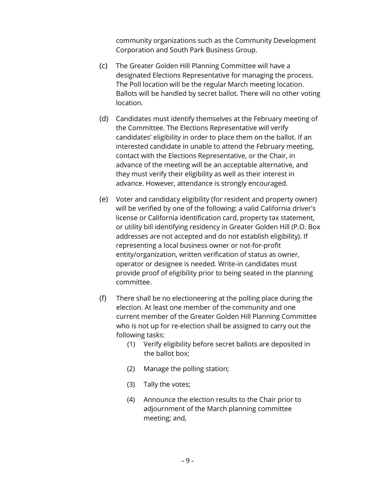community organizations such as the Community Development Corporation and South Park Business Group.

- (c) The Greater Golden Hill Planning Committee will have a designated Elections Representative for managing the process. The Poll location will be the regular March meeting location. Ballots will be handled by secret ballot. There will no other voting location.
- (d) Candidates must identify themselves at the February meeting of the Committee. The Elections Representative will verify candidates' eligibility in order to place them on the ballot. If an interested candidate in unable to attend the February meeting, contact with the Elections Representative, or the Chair, in advance of the meeting will be an acceptable alternative, and they must verify their eligibility as well as their interest in advance. However, attendance is strongly encouraged.
- (e) Voter and candidacy eligibility (for resident and property owner) will be verified by one of the following: a valid California driver's license or California identification card, property tax statement, or utility bill identifying residency in Greater Golden Hill (P.O. Box addresses are not accepted and do not establish eligibility). If representing a local business owner or not-for-profit entity/organization, written verification of status as owner, operator or designee is needed. Write-in candidates must provide proof of eligibility prior to being seated in the planning committee.
- (f) There shall be no electioneering at the polling place during the election. At least one member of the community and one current member of the Greater Golden Hill Planning Committee who is not up for re-election shall be assigned to carry out the following tasks:
	- (1) Verify eligibility before secret ballots are deposited in the ballot box;
	- (2) Manage the polling station;
	- (3) Tally the votes;
	- (4) Announce the election results to the Chair prior to adjournment of the March planning committee meeting; and,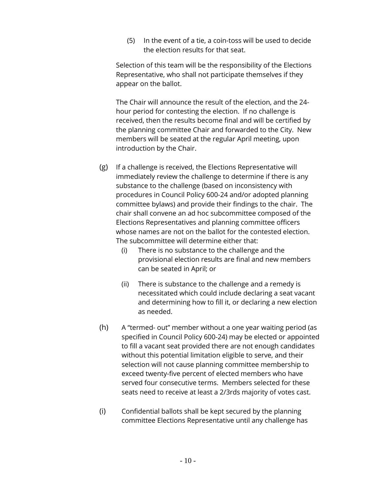(5) In the event of a tie, a coin-toss will be used to decide the election results for that seat.

Selection of this team will be the responsibility of the Elections Representative, who shall not participate themselves if they appear on the ballot.

The Chair will announce the result of the election, and the 24 hour period for contesting the election. If no challenge is received, then the results become final and will be certified by the planning committee Chair and forwarded to the City. New members will be seated at the regular April meeting, upon introduction by the Chair.

- (g) If a challenge is received, the Elections Representative will immediately review the challenge to determine if there is any substance to the challenge (based on inconsistency with procedures in Council Policy 600-24 and/or adopted planning committee bylaws) and provide their findings to the chair. The chair shall convene an ad hoc subcommittee composed of the Elections Representatives and planning committee officers whose names are not on the ballot for the contested election. The subcommittee will determine either that:
	- (i) There is no substance to the challenge and the provisional election results are final and new members can be seated in April; or
	- (ii) There is substance to the challenge and a remedy is necessitated which could include declaring a seat vacant and determining how to fill it, or declaring a new election as needed.
- (h) A "termed- out" member without a one year waiting period (as specified in Council Policy 600-24) may be elected or appointed to fill a vacant seat provided there are not enough candidates without this potential limitation eligible to serve, and their selection will not cause planning committee membership to exceed twenty-five percent of elected members who have served four consecutive terms. Members selected for these seats need to receive at least a 2/3rds majority of votes cast.
- (i) Confidential ballots shall be kept secured by the planning committee Elections Representative until any challenge has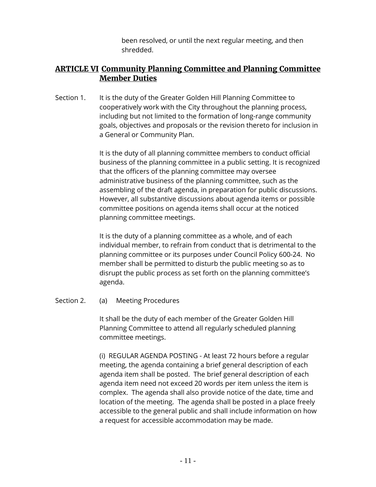been resolved, or until the next regular meeting, and then shredded.

## **ARTICLE VI Community Planning Committee and Planning Committee Member Duties**

Section 1. It is the duty of the Greater Golden Hill Planning Committee to cooperatively work with the City throughout the planning process, including but not limited to the formation of long-range community goals, objectives and proposals or the revision thereto for inclusion in a General or Community Plan.

> It is the duty of all planning committee members to conduct official business of the planning committee in a public setting. It is recognized that the officers of the planning committee may oversee administrative business of the planning committee, such as the assembling of the draft agenda, in preparation for public discussions. However, all substantive discussions about agenda items or possible committee positions on agenda items shall occur at the noticed planning committee meetings.

It is the duty of a planning committee as a whole, and of each individual member, to refrain from conduct that is detrimental to the planning committee or its purposes under Council Policy 600-24. No member shall be permitted to disturb the public meeting so as to disrupt the public process as set forth on the planning committee's agenda.

Section 2. (a) Meeting Procedures

It shall be the duty of each member of the Greater Golden Hill Planning Committee to attend all regularly scheduled planning committee meetings.

(i) REGULAR AGENDA POSTING - At least 72 hours before a regular meeting, the agenda containing a brief general description of each agenda item shall be posted. The brief general description of each agenda item need not exceed 20 words per item unless the item is complex. The agenda shall also provide notice of the date, time and location of the meeting. The agenda shall be posted in a place freely accessible to the general public and shall include information on how a request for accessible accommodation may be made.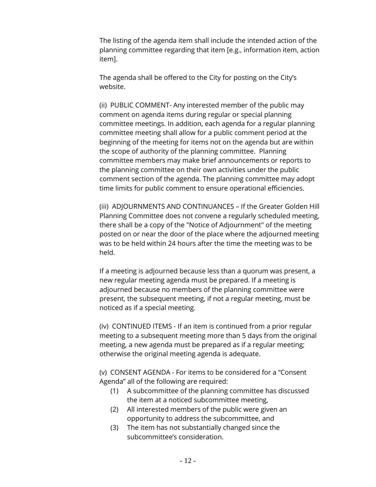The listing of the agenda item shall include the intended action of the planning committee regarding that item [e.g., information item, action item].

The agenda shall be offered to the City for posting on the City's website.

(ii) PUBLIC COMMENT- Any interested member of the public may comment on agenda items during regular or special planning committee meetings. In addition, each agenda for a regular planning committee meeting shall allow for a public comment period at the beginning of the meeting for items not on the agenda but are within the scope of authority of the planning committee. Planning committee members may make brief announcements or reports to the planning committee on their own activities under the public comment section of the agenda. The planning committee may adopt time limits for public comment to ensure operational efficiencies.

(iii) ADJOURNMENTS AND CONTINUANCES – If the Greater Golden Hill Planning Committee does not convene a regularly scheduled meeting, there shall be a copy of the "Notice of Adjournment" of the meeting posted on or near the door of the place where the adjourned meeting was to be held within 24 hours after the time the meeting was to be held.

If a meeting is adjourned because less than a quorum was present, a new regular meeting agenda must be prepared. If a meeting is adjourned because no members of the planning committee were present, the subsequent meeting, if not a regular meeting, must be noticed as if a special meeting.

(iv) CONTINUED ITEMS - If an item is continued from a prior regular meeting to a subsequent meeting more than 5 days from the original meeting, a new agenda must be prepared as if a regular meeting; otherwise the original meeting agenda is adequate.

(v) CONSENT AGENDA - For items to be considered for a "Consent Agenda" all of the following are required:

- (1) A subcommittee of the planning committee has discussed the item at a noticed subcommittee meeting,
- (2) All interested members of the public were given an opportunity to address the subcommittee, and
- (3) The item has not substantially changed since the subcommittee's consideration.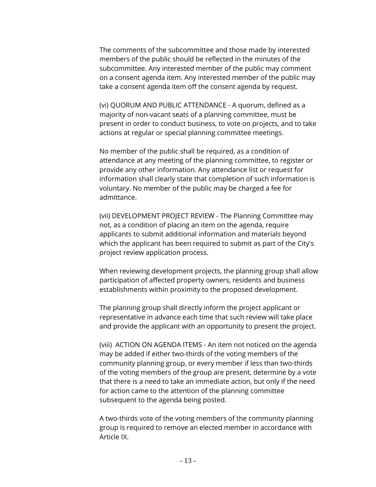The comments of the subcommittee and those made by interested members of the public should be reflected in the minutes of the subcommittee. Any interested member of the public may comment on a consent agenda item. Any interested member of the public may take a consent agenda item off the consent agenda by request.

(vi) QUORUM AND PUBLIC ATTENDANCE - A quorum, defined as a majority of non-vacant seats of a planning committee, must be present in order to conduct business, to vote on projects, and to take actions at regular or special planning committee meetings.

No member of the public shall be required, as a condition of attendance at any meeting of the planning committee, to register or provide any other information. Any attendance list or request for information shall clearly state that completion of such information is voluntary. No member of the public may be charged a fee for admittance.

(vii) DEVELOPMENT PROJECT REVIEW - The Planning Committee may not, as a condition of placing an item on the agenda, require applicants to submit additional information and materials beyond which the applicant has been required to submit as part of the City's project review application process.

When reviewing development projects, the planning group shall allow participation of affected property owners, residents and business establishments within proximity to the proposed development.

The planning group shall directly inform the project applicant or representative in advance each time that such review will take place and provide the applicant with an opportunity to present the project.

(viii) ACTION ON AGENDA ITEMS - An item not noticed on the agenda may be added if either two-thirds of the voting members of the community planning group, or every member if less than two-thirds of the voting members of the group are present, determine by a vote that there is a need to take an immediate action, but only if the need for action came to the attention of the planning committee subsequent to the agenda being posted.

A two-thirds vote of the voting members of the community planning group is required to remove an elected member in accordance with Article IX.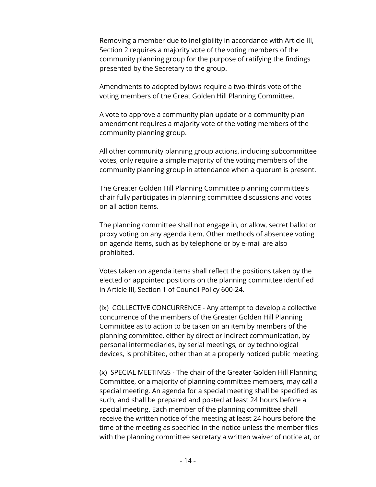Removing a member due to ineligibility in accordance with Article III, Section 2 requires a majority vote of the voting members of the community planning group for the purpose of ratifying the findings presented by the Secretary to the group.

Amendments to adopted bylaws require a two-thirds vote of the voting members of the Great Golden Hill Planning Committee.

A vote to approve a community plan update or a community plan amendment requires a majority vote of the voting members of the community planning group.

All other community planning group actions, including subcommittee votes, only require a simple majority of the voting members of the community planning group in attendance when a quorum is present.

The Greater Golden Hill Planning Committee planning committee's chair fully participates in planning committee discussions and votes on all action items.

The planning committee shall not engage in, or allow, secret ballot or proxy voting on any agenda item. Other methods of absentee voting on agenda items, such as by telephone or by e-mail are also prohibited.

Votes taken on agenda items shall reflect the positions taken by the elected or appointed positions on the planning committee identified in Article III, Section 1 of Council Policy 600-24.

(ix) COLLECTIVE CONCURRENCE - Any attempt to develop a collective concurrence of the members of the Greater Golden Hill Planning Committee as to action to be taken on an item by members of the planning committee, either by direct or indirect communication, by personal intermediaries, by serial meetings, or by technological devices, is prohibited, other than at a properly noticed public meeting.

(x) SPECIAL MEETINGS - The chair of the Greater Golden Hill Planning Committee, or a majority of planning committee members, may call a special meeting. An agenda for a special meeting shall be specified as such, and shall be prepared and posted at least 24 hours before a special meeting. Each member of the planning committee shall receive the written notice of the meeting at least 24 hours before the time of the meeting as specified in the notice unless the member files with the planning committee secretary a written waiver of notice at, or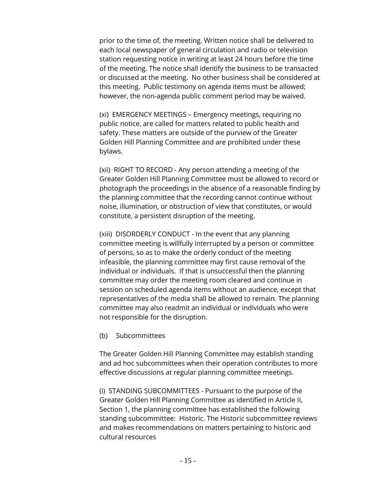prior to the time of, the meeting. Written notice shall be delivered to each local newspaper of general circulation and radio or television station requesting notice in writing at least 24 hours before the time of the meeting. The notice shall identify the business to be transacted or discussed at the meeting. No other business shall be considered at this meeting. Public testimony on agenda items must be allowed; however, the non-agenda public comment period may be waived.

(xi) EMERGENCY MEETINGS – Emergency meetings, requiring no public notice, are called for matters related to public health and safety. These matters are outside of the purview of the Greater Golden Hill Planning Committee and are prohibited under these bylaws.

(xii) RIGHT TO RECORD - Any person attending a meeting of the Greater Golden Hill Planning Committee must be allowed to record or photograph the proceedings in the absence of a reasonable finding by the planning committee that the recording cannot continue without noise, illumination, or obstruction of view that constitutes, or would constitute, a persistent disruption of the meeting.

(xiii) DISORDERLY CONDUCT - In the event that any planning committee meeting is willfully interrupted by a person or committee of persons, so as to make the orderly conduct of the meeting infeasible, the planning committee may first cause removal of the individual or individuals. If that is unsuccessful then the planning committee may order the meeting room cleared and continue in session on scheduled agenda items without an audience, except that representatives of the media shall be allowed to remain. The planning committee may also readmit an individual or individuals who were not responsible for the disruption.

(b) Subcommittees

The Greater Golden Hill Planning Committee may establish standing and ad hoc subcommittees when their operation contributes to more effective discussions at regular planning committee meetings.

(i) STANDING SUBCOMMITTEES - Pursuant to the purpose of the Greater Golden Hill Planning Committee as identified in Article II, Section 1, the planning committee has established the following standing subcommittee: Historic. The Historic subcommittee reviews and makes recommendations on matters pertaining to historic and cultural resources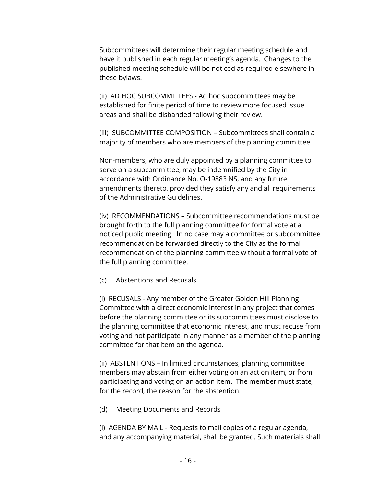Subcommittees will determine their regular meeting schedule and have it published in each regular meeting's agenda. Changes to the published meeting schedule will be noticed as required elsewhere in these bylaws.

(ii) AD HOC SUBCOMMITTEES - Ad hoc subcommittees may be established for finite period of time to review more focused issue areas and shall be disbanded following their review.

(iii) SUBCOMMITTEE COMPOSITION – Subcommittees shall contain a majority of members who are members of the planning committee.

Non-members, who are duly appointed by a planning committee to serve on a subcommittee, may be indemnified by the City in accordance with Ordinance No. O-19883 NS, and any future amendments thereto, provided they satisfy any and all requirements of the Administrative Guidelines.

(iv) RECOMMENDATIONS – Subcommittee recommendations must be brought forth to the full planning committee for formal vote at a noticed public meeting. In no case may a committee or subcommittee recommendation be forwarded directly to the City as the formal recommendation of the planning committee without a formal vote of the full planning committee.

(c) Abstentions and Recusals

(i) RECUSALS - Any member of the Greater Golden Hill Planning Committee with a direct economic interest in any project that comes before the planning committee or its subcommittees must disclose to the planning committee that economic interest, and must recuse from voting and not participate in any manner as a member of the planning committee for that item on the agenda.

(ii) ABSTENTIONS – In limited circumstances, planning committee members may abstain from either voting on an action item, or from participating and voting on an action item. The member must state, for the record, the reason for the abstention.

(d) Meeting Documents and Records

(i) AGENDA BY MAIL - Requests to mail copies of a regular agenda, and any accompanying material, shall be granted. Such materials shall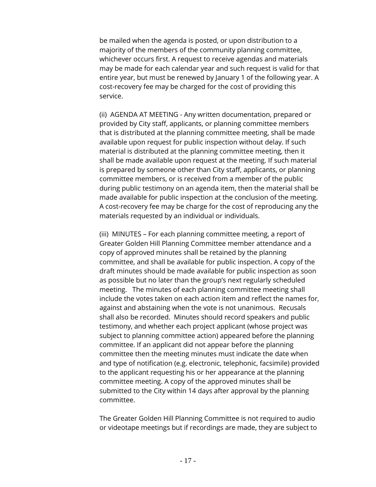be mailed when the agenda is posted, or upon distribution to a majority of the members of the community planning committee, whichever occurs first. A request to receive agendas and materials may be made for each calendar year and such request is valid for that entire year, but must be renewed by January 1 of the following year. A cost-recovery fee may be charged for the cost of providing this service.

(ii) AGENDA AT MEETING - Any written documentation, prepared or provided by City staff, applicants, or planning committee members that is distributed at the planning committee meeting, shall be made available upon request for public inspection without delay. If such material is distributed at the planning committee meeting, then it shall be made available upon request at the meeting. If such material is prepared by someone other than City staff, applicants, or planning committee members, or is received from a member of the public during public testimony on an agenda item, then the material shall be made available for public inspection at the conclusion of the meeting. A cost-recovery fee may be charge for the cost of reproducing any the materials requested by an individual or individuals.

(iii) MINUTES – For each planning committee meeting, a report of Greater Golden Hill Planning Committee member attendance and a copy of approved minutes shall be retained by the planning committee, and shall be available for public inspection. A copy of the draft minutes should be made available for public inspection as soon as possible but no later than the group's next regularly scheduled meeting. The minutes of each planning committee meeting shall include the votes taken on each action item and reflect the names for, against and abstaining when the vote is not unanimous. Recusals shall also be recorded. Minutes should record speakers and public testimony, and whether each project applicant (whose project was subject to planning committee action) appeared before the planning committee. If an applicant did not appear before the planning committee then the meeting minutes must indicate the date when and type of notification (e.g. electronic, telephonic, facsimile) provided to the applicant requesting his or her appearance at the planning committee meeting. A copy of the approved minutes shall be submitted to the City within 14 days after approval by the planning committee.

The Greater Golden Hill Planning Committee is not required to audio or videotape meetings but if recordings are made, they are subject to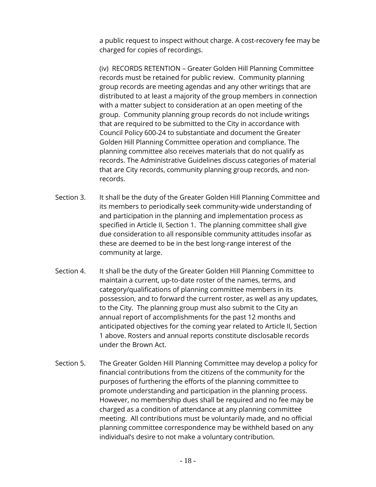a public request to inspect without charge. A cost-recovery fee may be charged for copies of recordings.

(iv) RECORDS RETENTION – Greater Golden Hill Planning Committee records must be retained for public review. Community planning group records are meeting agendas and any other writings that are distributed to at least a majority of the group members in connection with a matter subject to consideration at an open meeting of the group. Community planning group records do not include writings that are required to be submitted to the City in accordance with Council Policy 600-24 to substantiate and document the Greater Golden Hill Planning Committee operation and compliance. The planning committee also receives materials that do not qualify as records. The Administrative Guidelines discuss categories of material that are City records, community planning group records, and nonrecords.

- Section 3. It shall be the duty of the Greater Golden Hill Planning Committee and its members to periodically seek community-wide understanding of and participation in the planning and implementation process as specified in Article II, Section 1. The planning committee shall give due consideration to all responsible community attitudes insofar as these are deemed to be in the best long-range interest of the community at large.
- Section 4. It shall be the duty of the Greater Golden Hill Planning Committee to maintain a current, up-to-date roster of the names, terms, and category/qualifications of planning committee members in its possession, and to forward the current roster, as well as any updates, to the City. The planning group must also submit to the City an annual report of accomplishments for the past 12 months and anticipated objectives for the coming year related to Article II, Section 1 above. Rosters and annual reports constitute disclosable records under the Brown Act.
- Section 5. The Greater Golden Hill Planning Committee may develop a policy for financial contributions from the citizens of the community for the purposes of furthering the efforts of the planning committee to promote understanding and participation in the planning process. However, no membership dues shall be required and no fee may be charged as a condition of attendance at any planning committee meeting. All contributions must be voluntarily made, and no official planning committee correspondence may be withheld based on any individual's desire to not make a voluntary contribution.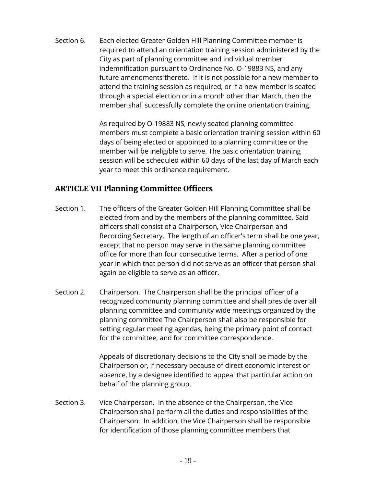Section 6. Each elected Greater Golden Hill Planning Committee member is required to attend an orientation training session administered by the City as part of planning committee and individual member indemnification pursuant to Ordinance No. O-19883 NS, and any future amendments thereto. If it is not possible for a new member to attend the training session as required, or if a new member is seated through a special election or in a month other than March, then the member shall successfully complete the online orientation training.

> As required by O-19883 NS, newly seated planning committee members must complete a basic orientation training session within 60 days of being elected or appointed to a planning committee or the member will be ineligible to serve. The basic orientation training session will be scheduled within 60 days of the last day of March each year to meet this ordinance requirement.

# **ARTICLE VII Planning Committee Officers**

- Section 1. The officers of the Greater Golden Hill Planning Committee shall be elected from and by the members of the planning committee. Said officers shall consist of a Chairperson, Vice Chairperson and Recording Secretary. The length of an officer's term shall be one year, except that no person may serve in the same planning committee office for more than four consecutive terms. After a period of one year in which that person did not serve as an officer that person shall again be eligible to serve as an officer.
- Section 2. Chairperson. The Chairperson shall be the principal officer of a recognized community planning committee and shall preside over all planning committee and community wide meetings organized by the planning committee The Chairperson shall also be responsible for setting regular meeting agendas, being the primary point of contact for the committee, and for committee correspondence.

Appeals of discretionary decisions to the City shall be made by the Chairperson or, if necessary because of direct economic interest or absence, by a designee identified to appeal that particular action on behalf of the planning group.

Section 3. Vice Chairperson. In the absence of the Chairperson, the Vice Chairperson shall perform all the duties and responsibilities of the Chairperson. In addition, the Vice Chairperson shall be responsible for identification of those planning committee members that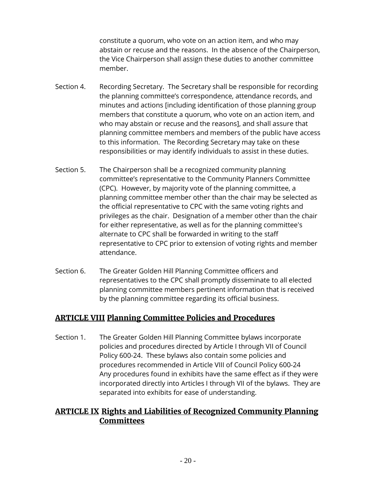constitute a quorum, who vote on an action item, and who may abstain or recuse and the reasons. In the absence of the Chairperson, the Vice Chairperson shall assign these duties to another committee member.

- Section 4. Recording Secretary. The Secretary shall be responsible for recording the planning committee's correspondence, attendance records, and minutes and actions [including identification of those planning group members that constitute a quorum, who vote on an action item, and who may abstain or recuse and the reasons], and shall assure that planning committee members and members of the public have access to this information. The Recording Secretary may take on these responsibilities or may identify individuals to assist in these duties.
- Section 5. The Chairperson shall be a recognized community planning committee's representative to the Community Planners Committee (CPC). However, by majority vote of the planning committee, a planning committee member other than the chair may be selected as the official representative to CPC with the same voting rights and privileges as the chair. Designation of a member other than the chair for either representative, as well as for the planning committee's alternate to CPC shall be forwarded in writing to the staff representative to CPC prior to extension of voting rights and member attendance.
- Section 6. The Greater Golden Hill Planning Committee officers and representatives to the CPC shall promptly disseminate to all elected planning committee members pertinent information that is received by the planning committee regarding its official business.

## **ARTICLE VIII Planning Committee Policies and Procedures**

Section 1. The Greater Golden Hill Planning Committee bylaws incorporate policies and procedures directed by Article I through VII of Council Policy 600-24. These bylaws also contain some policies and procedures recommended in Article VIII of Council Policy 600-24 Any procedures found in exhibits have the same effect as if they were incorporated directly into Articles I through VII of the bylaws. They are separated into exhibits for ease of understanding.

## **ARTICLE IX Rights and Liabilities of Recognized Community Planning Committees**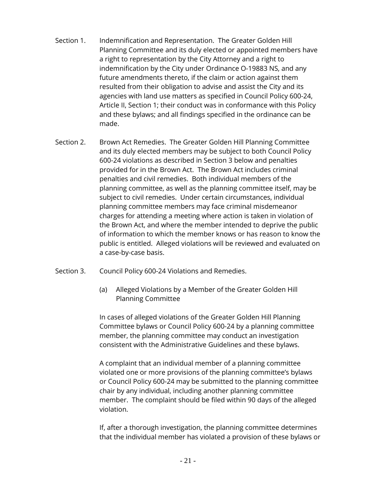- Section 1. Indemnification and Representation. The Greater Golden Hill Planning Committee and its duly elected or appointed members have a right to representation by the City Attorney and a right to indemnification by the City under Ordinance O-19883 NS, and any future amendments thereto, if the claim or action against them resulted from their obligation to advise and assist the City and its agencies with land use matters as specified in Council Policy 600-24, Article II, Section 1; their conduct was in conformance with this Policy and these bylaws; and all findings specified in the ordinance can be made.
- Section 2. Brown Act Remedies. The Greater Golden Hill Planning Committee and its duly elected members may be subject to both Council Policy 600-24 violations as described in Section 3 below and penalties provided for in the Brown Act. The Brown Act includes criminal penalties and civil remedies. Both individual members of the planning committee, as well as the planning committee itself, may be subject to civil remedies. Under certain circumstances, individual planning committee members may face criminal misdemeanor charges for attending a meeting where action is taken in violation of the Brown Act, and where the member intended to deprive the public of information to which the member knows or has reason to know the public is entitled. Alleged violations will be reviewed and evaluated on a case-by-case basis.
- Section 3. Council Policy 600-24 Violations and Remedies.
	- (a) Alleged Violations by a Member of the Greater Golden Hill Planning Committee

In cases of alleged violations of the Greater Golden Hill Planning Committee bylaws or Council Policy 600-24 by a planning committee member, the planning committee may conduct an investigation consistent with the Administrative Guidelines and these bylaws.

A complaint that an individual member of a planning committee violated one or more provisions of the planning committee's bylaws or Council Policy 600-24 may be submitted to the planning committee chair by any individual, including another planning committee member. The complaint should be filed within 90 days of the alleged violation.

If, after a thorough investigation, the planning committee determines that the individual member has violated a provision of these bylaws or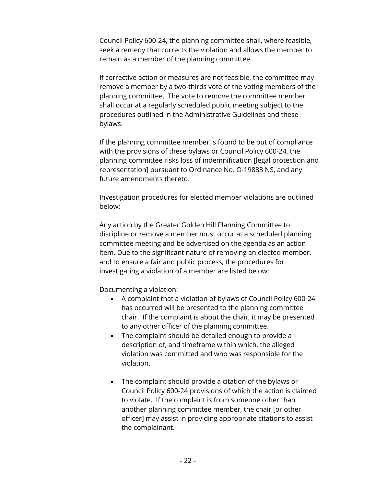Council Policy 600-24, the planning committee shall, where feasible, seek a remedy that corrects the violation and allows the member to remain as a member of the planning committee.

If corrective action or measures are not feasible, the committee may remove a member by a two-thirds vote of the voting members of the planning committee. The vote to remove the committee member shall occur at a regularly scheduled public meeting subject to the procedures outlined in the Administrative Guidelines and these bylaws.

If the planning committee member is found to be out of compliance with the provisions of these bylaws or Council Policy 600-24, the planning committee risks loss of indemnification [legal protection and representation] pursuant to Ordinance No. O-19883 NS, and any future amendments thereto.

Investigation procedures for elected member violations are outlined below:

Any action by the Greater Golden Hill Planning Committee to discipline or remove a member must occur at a scheduled planning committee meeting and be advertised on the agenda as an action item. Due to the significant nature of removing an elected member, and to ensure a fair and public process, the procedures for investigating a violation of a member are listed below:

Documenting a violation:

- A complaint that a violation of bylaws of Council Policy 600-24 has occurred will be presented to the planning committee chair. If the complaint is about the chair, it may be presented to any other officer of the planning committee.
- The complaint should be detailed enough to provide a description of, and timeframe within which, the alleged violation was committed and who was responsible for the violation.
- The complaint should provide a citation of the bylaws or Council Policy 600-24 provisions of which the action is claimed to violate. If the complaint is from someone other than another planning committee member, the chair [or other officer] may assist in providing appropriate citations to assist the complainant.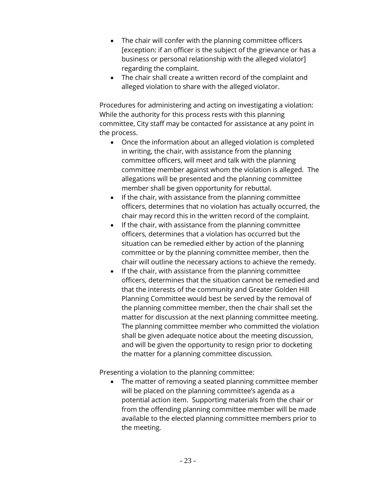- The chair will confer with the planning committee officers [exception: if an officer is the subject of the grievance or has a business or personal relationship with the alleged violator] regarding the complaint.
- The chair shall create a written record of the complaint and alleged violation to share with the alleged violator.

Procedures for administering and acting on investigating a violation: While the authority for this process rests with this planning committee, City staff may be contacted for assistance at any point in the process.

- Once the information about an alleged violation is completed in writing, the chair, with assistance from the planning committee officers, will meet and talk with the planning committee member against whom the violation is alleged. The allegations will be presented and the planning committee member shall be given opportunity for rebuttal.
- If the chair, with assistance from the planning committee officers, determines that no violation has actually occurred, the chair may record this in the written record of the complaint.
- If the chair, with assistance from the planning committee officers, determines that a violation has occurred but the situation can be remedied either by action of the planning committee or by the planning committee member, then the chair will outline the necessary actions to achieve the remedy.
- If the chair, with assistance from the planning committee officers, determines that the situation cannot be remedied and that the interests of the community and Greater Golden Hill Planning Committee would best be served by the removal of the planning committee member, then the chair shall set the matter for discussion at the next planning committee meeting. The planning committee member who committed the violation shall be given adequate notice about the meeting discussion, and will be given the opportunity to resign prior to docketing the matter for a planning committee discussion.

Presenting a violation to the planning committee:

• The matter of removing a seated planning committee member will be placed on the planning committee's agenda as a potential action item. Supporting materials from the chair or from the offending planning committee member will be made available to the elected planning committee members prior to the meeting.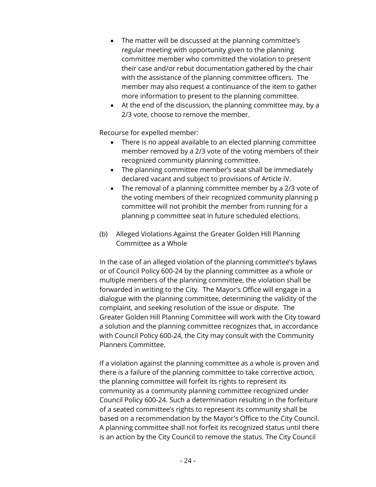- The matter will be discussed at the planning committee's regular meeting with opportunity given to the planning committee member who committed the violation to present their case and/or rebut documentation gathered by the chair with the assistance of the planning committee officers. The member may also request a continuance of the item to gather more information to present to the planning committee.
- At the end of the discussion, the planning committee may, by a 2/3 vote, choose to remove the member.

Recourse for expelled member:

- There is no appeal available to an elected planning committee member removed by a 2/3 vote of the voting members of their recognized community planning committee.
- The planning committee member's seat shall be immediately declared vacant and subject to provisions of Article IV.
- The removal of a planning committee member by a 2/3 vote of the voting members of their recognized community planning p committee will not prohibit the member from running for a planning p committee seat in future scheduled elections.
- (b) Alleged Violations Against the Greater Golden Hill Planning Committee as a Whole

In the case of an alleged violation of the planning committee's bylaws or of Council Policy 600-24 by the planning committee as a whole or multiple members of the planning committee, the violation shall be forwarded in writing to the City. The Mayor's Office will engage in a dialogue with the planning committee, determining the validity of the complaint, and seeking resolution of the issue or dispute. The Greater Golden Hill Planning Committee will work with the City toward a solution and the planning committee recognizes that, in accordance with Council Policy 600-24, the City may consult with the Community Planners Committee.

If a violation against the planning committee as a whole is proven and there is a failure of the planning committee to take corrective action, the planning committee will forfeit its rights to represent its community as a community planning committee recognized under Council Policy 600-24. Such a determination resulting in the forfeiture of a seated committee's rights to represent its community shall be based on a recommendation by the Mayor's Office to the City Council. A planning committee shall not forfeit its recognized status until there is an action by the City Council to remove the status. The City Council